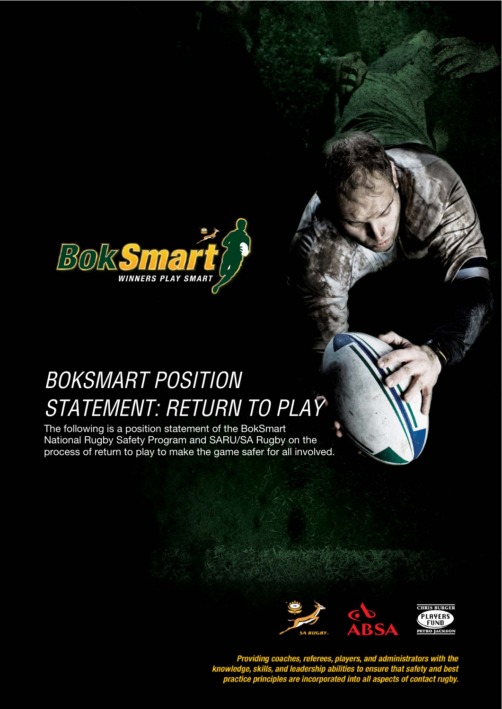

## **BOKSMART POSITION STYLE HEADING FOR TABLES**  STATEMENT: RETURN TO PLAY

The following is a position statement of the BokSmart National Rugby Safety Program and SARU/SA Rugby on the process of return to play to make the game safer for all involved.



Providing coaches, referees, players, and administrators with the<br>knowledge, skills, and leadership abilities to ensure that safety and best<br>practice principles are incorporated into all aspects of contact rugby.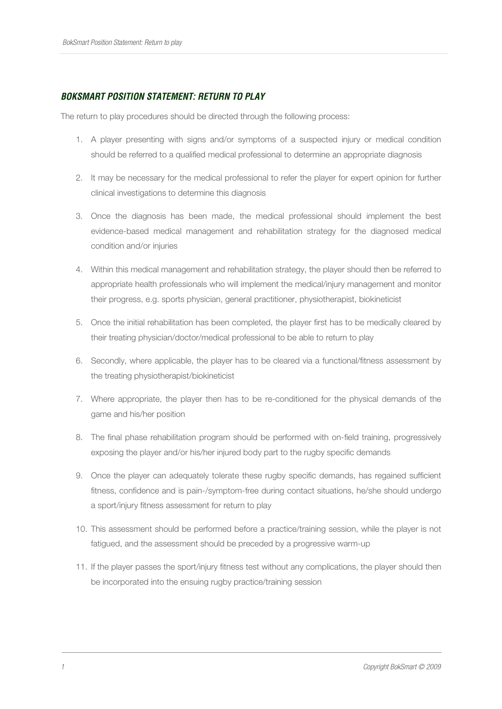## **BOKSMART POSITION STATEMENT: RETURN TO PLAY**

The return to play procedures should be directed through the following process:

- 1. A player presenting with signs and/or symptoms of a suspected injury or medical condition should be referred to a qualified medical professional to determine an appropriate diagnosis
- 2. It may be necessary for the medical professional to refer the player for expert opinion for further clinical investigations to determine this diagnosis
- 3. Once the diagnosis has been made, the medical professional should implement the best evidence-based medical management and rehabilitation strategy for the diagnosed medical condition and/or injuries
- 4. Within this medical management and rehabilitation strategy, the player should then be referred to appropriate health professionals who will implement the medical/injury management and monitor their progress, e.g. sports physician, general practitioner, physiotherapist, biokineticist
- 5. Once the initial rehabilitation has been completed, the player first has to be medically cleared by their treating physician/doctor/medical professional to be able to return to play
- 6. Secondly, where applicable, the player has to be cleared via a functional/fitness assessment by the treating physiotherapist/biokineticist
- 7. Where appropriate, the player then has to be re-conditioned for the physical demands of the game and his/her position
- 8. The final phase rehabilitation program should be performed with on-field training, progressively exposing the player and/or his/her injured body part to the rugby specific demands
- 9. Once the player can adequately tolerate these rugby specific demands, has regained sufficient fitness, confidence and is pain-/symptom-free during contact situations, he/she should undergo a sport/injury fitness assessment for return to play
- 10. This assessment should be performed before a practice/training session, while the player is not fatigued, and the assessment should be preceded by a progressive warm-up
- 11. If the player passes the sport/injury fitness test without any complications, the player should then be incorporated into the ensuing rugby practice/training session